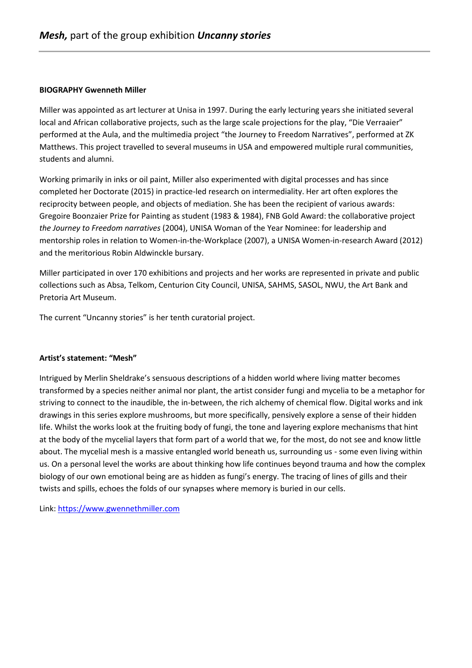## **BIOGRAPHY Gwenneth Miller**

Miller was appointed as art lecturer at Unisa in 1997. During the early lecturing years she initiated several local and African collaborative projects, such as the large scale projections for the play, "Die Verraaier" performed at the Aula, and the multimedia project "the Journey to Freedom Narratives", performed at ZK Matthews. This project travelled to several museums in USA and empowered multiple rural communities, students and alumni.

Working primarily in inks or oil paint, Miller also experimented with digital processes and has since completed her Doctorate (2015) in practice-led research on intermediality. Her art often explores the reciprocity between people, and objects of mediation. She has been the recipient of various awards: Gregoire Boonzaier Prize for Painting as student (1983 & 1984), FNB Gold Award: the collaborative project *the Journey to Freedom narratives* (2004), UNISA Woman of the Year Nominee: for leadership and mentorship roles in relation to Women-in-the-Workplace (2007), a UNISA Women-in-research Award (2012) and the meritorious Robin Aldwinckle bursary.

Miller participated in over 170 exhibitions and projects and her works are represented in private and public collections such as Absa, Telkom, Centurion City Council, UNISA, SAHMS, SASOL, NWU, the Art Bank and Pretoria Art Museum.

The current "Uncanny stories" is her tenth curatorial project.

## **Artist's statement: "Mesh"**

Intrigued by Merlin Sheldrake's sensuous descriptions of a hidden world where living matter becomes transformed by a species neither animal nor plant, the artist consider fungi and mycelia to be a metaphor for striving to connect to the inaudible, the in-between, the rich alchemy of chemical flow. Digital works and ink drawings in this series explore mushrooms, but more specifically, pensively explore a sense of their hidden life. Whilst the works look at the fruiting body of fungi, the tone and layering explore mechanisms that hint at the body of the mycelial layers that form part of a world that we, for the most, do not see and know little about. The mycelial mesh is a massive entangled world beneath us, surrounding us - some even living within us. On a personal level the works are about thinking how life continues beyond trauma and how the complex biology of our own emotional being are as hidden as fungi's energy. The tracing of lines of gills and their twists and spills, echoes the folds of our synapses where memory is buried in our cells.

Link: [https://www.gwennethmiller.com](https://www.gwennethmiller.com/)